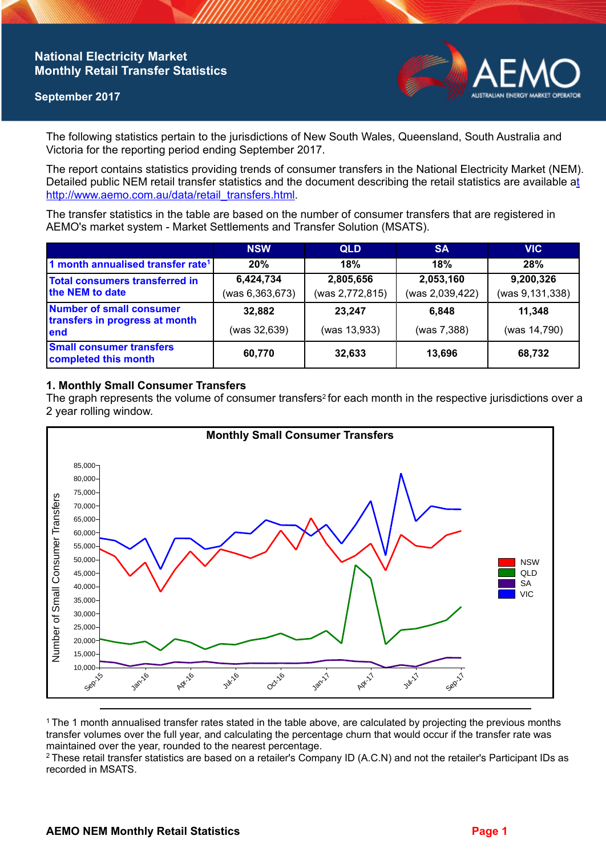## **National Electricity Market Monthly Retail Transfer Statistics**

### **September 2017**



The following statistics pertain to the jurisdictions of New South Wales, Queensland, South Australia and Victoria for the reporting period ending September 2017.

The report contains statistics providing trends of consumer transfers in the National Electricity Market (NEM). Detailed public NEM retail transfer statistics and the document describing the retail statistics are available a[t](http://www.aemo.com.au/data/retail_transfers.html)  http://www.aemo.com.au/data/retail\_transfers.html

The transfer statistics in the table are based on the number of consumer transfers that are registered in AEMO's market system - Market Settlements and Transfer Solution (MSATS).

|                                                                    | <b>NSW</b>        | <b>QLD</b>      | <b>SA</b>       | <b>VIC</b>      |
|--------------------------------------------------------------------|-------------------|-----------------|-----------------|-----------------|
| 1 month annualised transfer rate <sup>1</sup>                      | 20%               | 18%             | 18%             | 28%             |
| <b>Total consumers transferred in</b><br>the NEM to date           | 6,424,734         | 2,805,656       | 2,053,160       | 9,200,326       |
|                                                                    | (was 6, 363, 673) | (was 2,772,815) | (was 2,039,422) | (was 9,131,338) |
| Number of small consumer<br>transfers in progress at month<br>lend | 32,882            | 23,247          | 6.848           | 11,348          |
|                                                                    | (was 32,639)      | (was 13,933)    | (was 7,388)     | (was 14,790)    |
| <b>Small consumer transfers</b><br>completed this month            | 60,770            | 32,633          | 13,696          | 68,732          |

### **1. Monthly Small Consumer Transfers**

The graph represents the volume of consumer transfers<sup>2</sup> for each month in the respective jurisdictions over a 2 year rolling window.



<sup>1</sup>The 1 month annualised transfer rates stated in the table above, are calculated by projecting the previous months transfer volumes over the full year, and calculating the percentage churn that would occur if the transfer rate was maintained over the year, rounded to the nearest percentage.

<sup>2</sup> These retail transfer statistics are based on a retailer's Company ID (A.C.N) and not the retailer's Participant IDs as recorded in MSATS.